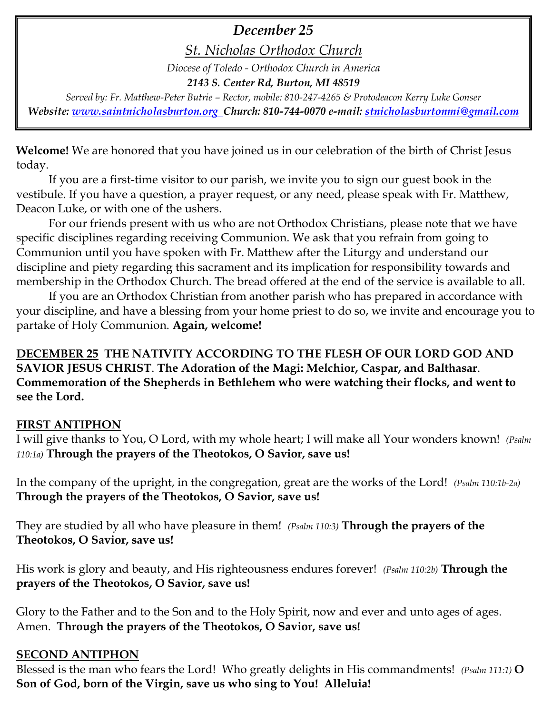# *December 25*

*St. Nicholas Orthodox Church*

*Diocese of Toledo - Orthodox Church in America*

*2143 S. Center Rd, Burton, MI 48519*

*Served by: Fr. Matthew-Peter Butrie – Rector, mobile: 810-247-4265 & Protodeacon Kerry Luke Gonser Website: [www.saintnicholasburton.org](http://www.saintnicholasburton.org/) Church: 810-744-0070 e-mail: [stnicholasburtonmi@gmail.com](mailto:stnicholasburtonmi@gmail.com)*

**Welcome!** We are honored that you have joined us in our celebration of the birth of Christ Jesus today.

If you are a first-time visitor to our parish, we invite you to sign our guest book in the vestibule. If you have a question, a prayer request, or any need, please speak with Fr. Matthew, Deacon Luke, or with one of the ushers.

For our friends present with us who are not Orthodox Christians, please note that we have specific disciplines regarding receiving Communion. We ask that you refrain from going to Communion until you have spoken with Fr. Matthew after the Liturgy and understand our discipline and piety regarding this sacrament and its implication for responsibility towards and membership in the Orthodox Church. The bread offered at the end of the service is available to all.

If you are an Orthodox Christian from another parish who has prepared in accordance with your discipline, and have a blessing from your home priest to do so, we invite and encourage you to partake of Holy Communion. **Again, welcome!** 

## **DECEMBER 25 THE NATIVITY ACCORDING TO THE FLESH OF OUR LORD GOD AND SAVIOR JESUS CHRIST**. **The Adoration of the Magi: Melchior, Caspar, and Balthasar**. **Commemoration of the Shepherds in Bethlehem who were watching their flocks, and went to see the Lord.**

## **FIRST ANTIPHON**

I will give thanks to You, O Lord, with my whole heart; I will make all Your wonders known! *(Psalm 110:1a)* **Through the prayers of the Theotokos, O Savior, save us!**

In the company of the upright, in the congregation, great are the works of the Lord! *(Psalm 110:1b-2a)* **Through the prayers of the Theotokos, O Savior, save us!**

They are studied by all who have pleasure in them! *(Psalm 110:3)* **Through the prayers of the Theotokos, O Savior, save us!**

His work is glory and beauty, and His righteousness endures forever! *(Psalm 110:2b)* **Through the prayers of the Theotokos, O Savior, save us!**

Glory to the Father and to the Son and to the Holy Spirit, now and ever and unto ages of ages. Amen. **Through the prayers of the Theotokos, O Savior, save us!**

## **SECOND ANTIPHON**

Blessed is the man who fears the Lord! Who greatly delights in His commandments! *(Psalm 111:1)* **O Son of God, born of the Virgin, save us who sing to You! Alleluia!**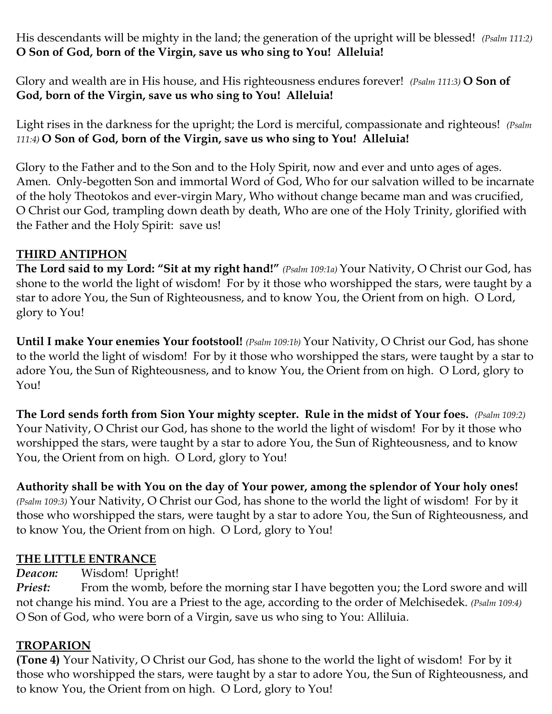His descendants will be mighty in the land; the generation of the upright will be blessed! *(Psalm 111:2)* **O Son of God, born of the Virgin, save us who sing to You! Alleluia!**

Glory and wealth are in His house, and His righteousness endures forever! *(Psalm 111:3)* **O Son of God, born of the Virgin, save us who sing to You! Alleluia!**

Light rises in the darkness for the upright; the Lord is merciful, compassionate and righteous! *(Psalm 111:4)* **O Son of God, born of the Virgin, save us who sing to You! Alleluia!**

Glory to the Father and to the Son and to the Holy Spirit, now and ever and unto ages of ages. Amen. Only-begotten Son and immortal Word of God, Who for our salvation willed to be incarnate of the holy Theotokos and ever-virgin Mary, Who without change became man and was crucified, O Christ our God, trampling down death by death, Who are one of the Holy Trinity, glorified with the Father and the Holy Spirit: save us!

## **THIRD ANTIPHON**

**The Lord said to my Lord: "Sit at my right hand!"** *(Psalm 109:1a)* Your Nativity, O Christ our God, has shone to the world the light of wisdom! For by it those who worshipped the stars, were taught by a star to adore You, the Sun of Righteousness, and to know You, the Orient from on high. O Lord, glory to You!

**Until I make Your enemies Your footstool!** *(Psalm 109:1b)* Your Nativity, O Christ our God, has shone to the world the light of wisdom! For by it those who worshipped the stars, were taught by a star to adore You, the Sun of Righteousness, and to know You, the Orient from on high. O Lord, glory to You!

**The Lord sends forth from Sion Your mighty scepter. Rule in the midst of Your foes.** *(Psalm 109:2)*  Your Nativity, O Christ our God, has shone to the world the light of wisdom! For by it those who worshipped the stars, were taught by a star to adore You, the Sun of Righteousness, and to know You, the Orient from on high. O Lord, glory to You!

**Authority shall be with You on the day of Your power, among the splendor of Your holy ones!** 

*(Psalm 109:3)* Your Nativity, O Christ our God, has shone to the world the light of wisdom! For by it those who worshipped the stars, were taught by a star to adore You, the Sun of Righteousness, and to know You, the Orient from on high. O Lord, glory to You!

## **THE LITTLE ENTRANCE**

*Deacon:* Wisdom! Upright!

*Priest:* From the womb, before the morning star I have begotten you; the Lord swore and will not change his mind. You are a Priest to the age, according to the order of Melchisedek. *(Psalm 109:4)* O Son of God, who were born of a Virgin, save us who sing to You: Alliluia.

## **TROPARION**

**(Tone 4)** Your Nativity, O Christ our God, has shone to the world the light of wisdom! For by it those who worshipped the stars, were taught by a star to adore You, the Sun of Righteousness, and to know You, the Orient from on high. O Lord, glory to You!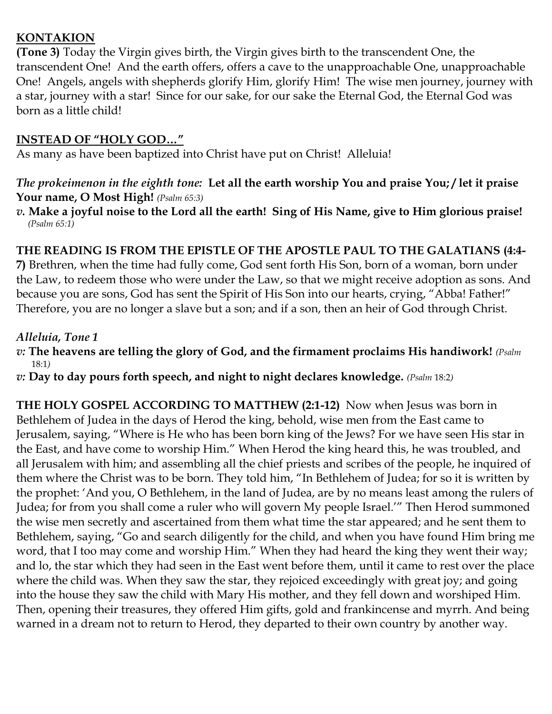## **KONTAKION**

**(Tone 3)** Today the Virgin gives birth, the Virgin gives birth to the transcendent One, the transcendent One! And the earth offers, offers a cave to the unapproachable One, unapproachable One! Angels, angels with shepherds glorify Him, glorify Him! The wise men journey, journey with a star, journey with a star! Since for our sake, for our sake the Eternal God, the Eternal God was born as a little child!

#### **INSTEAD OF "HOLY GOD…"**

As many as have been baptized into Christ have put on Christ! Alleluia!

#### *The prokeimenon in the eighth tone:* **Let all the earth worship You and praise You; / let it praise Your name, O Most High!** *(Psalm 65:3)*

*v.* **Make a joyful noise to the Lord all the earth! Sing of His Name, give to Him glorious praise!** *(Psalm 65:1)*

#### **THE READING IS FROM THE EPISTLE OF THE APOSTLE PAUL TO THE GALATIANS (4:4-**

**7)** Brethren, when the time had fully come, God sent forth His Son, born of a woman, born under the Law, to redeem those who were under the Law, so that we might receive adoption as sons. And because you are sons, God has sent the Spirit of His Son into our hearts, crying, "Abba! Father!" Therefore, you are no longer a slave but a son; and if a son, then an heir of God through Christ.

#### *Alleluia, Tone 1*

- *v:* **The heavens are telling the glory of God, and the firmament proclaims His handiwork!** *(Psalm* 18:1*)*
- *v:* **Day to day pours forth speech, and night to night declares knowledge.** *(Psalm* 18:2*)*

**THE HOLY GOSPEL ACCORDING TO MATTHEW (2:1-12)** Now when Jesus was born in Bethlehem of Judea in the days of Herod the king, behold, wise men from the East came to Jerusalem, saying, "Where is He who has been born king of the Jews? For we have seen His star in the East, and have come to worship Him." When Herod the king heard this, he was troubled, and all Jerusalem with him; and assembling all the chief priests and scribes of the people, he inquired of them where the Christ was to be born. They told him, "In Bethlehem of Judea; for so it is written by the prophet: 'And you, O Bethlehem, in the land of Judea, are by no means least among the rulers of Judea; for from you shall come a ruler who will govern My people Israel.'" Then Herod summoned the wise men secretly and ascertained from them what time the star appeared; and he sent them to Bethlehem, saying, "Go and search diligently for the child, and when you have found Him bring me word, that I too may come and worship Him." When they had heard the king they went their way; and lo, the star which they had seen in the East went before them, until it came to rest over the place where the child was. When they saw the star, they rejoiced exceedingly with great joy; and going into the house they saw the child with Mary His mother, and they fell down and worshiped Him. Then, opening their treasures, they offered Him gifts, gold and frankincense and myrrh. And being warned in a dream not to return to Herod, they departed to their own country by another way.